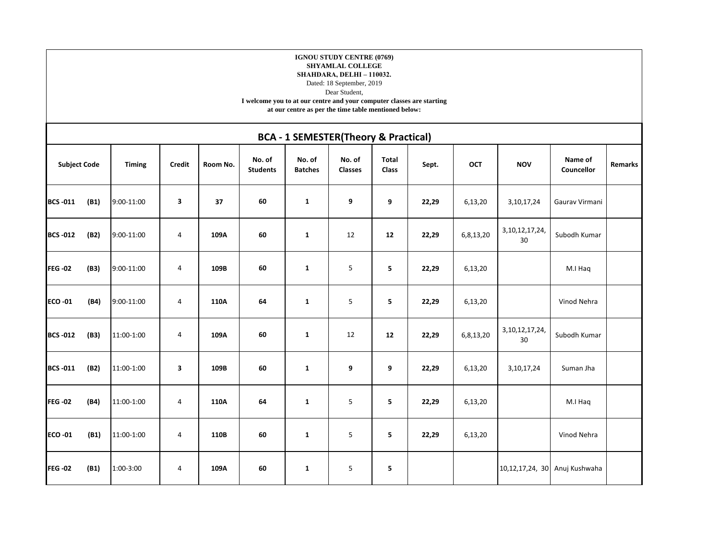## **IGNOU STUDY CENTRE (0769) SHYAMLAL COLLEGE**

**SHAHDARA, DELHI – 110032.** Dated: 18 September, 2019

Dear Student,

**I welcome you to at our centre and your computer classes are starting** 

**at our centre as per the time table mentioned below:**

| <b>BCA - 1 SEMESTER(Theory &amp; Practical)</b> |      |               |               |          |                           |                          |                          |                              |       |            |                          |                               |                |
|-------------------------------------------------|------|---------------|---------------|----------|---------------------------|--------------------------|--------------------------|------------------------------|-------|------------|--------------------------|-------------------------------|----------------|
| <b>Subject Code</b>                             |      | <b>Timing</b> | <b>Credit</b> | Room No. | No. of<br><b>Students</b> | No. of<br><b>Batches</b> | No. of<br><b>Classes</b> | <b>Total</b><br><b>Class</b> | Sept. | <b>OCT</b> | <b>NOV</b>               | Name of<br>Councellor         | <b>Remarks</b> |
| <b>BCS-011</b>                                  | (B1) | 9:00-11:00    | 3             | 37       | 60                        | $\mathbf{1}$             | 9                        | 9                            | 22,29 | 6,13,20    | 3,10,17,24               | Gaurav Virmani                |                |
| <b>BCS -012</b>                                 | (B2) | 9:00-11:00    | 4             | 109A     | 60                        | $\mathbf{1}$             | 12                       | 12                           | 22,29 | 6,8,13,20  | 3, 10, 12, 17, 24,<br>30 | Subodh Kumar                  |                |
| <b>FEG-02</b>                                   | (B3) | 9:00-11:00    | 4             | 109B     | 60                        | $\mathbf{1}$             | 5                        | 5                            | 22,29 | 6,13,20    |                          | M.I Haq                       |                |
| <b>ECO -01</b>                                  | (B4) | 9:00-11:00    | 4             | 110A     | 64                        | $\mathbf{1}$             | 5                        | 5                            | 22,29 | 6,13,20    |                          | Vinod Nehra                   |                |
| <b>BCS -012</b>                                 | (B3) | 11:00-1:00    | 4             | 109A     | 60                        | $\mathbf{1}$             | 12                       | 12                           | 22,29 | 6,8,13,20  | 3, 10, 12, 17, 24,<br>30 | Subodh Kumar                  |                |
| <b>BCS-011</b>                                  | (B2) | 11:00-1:00    | 3             | 109B     | 60                        | $\mathbf{1}$             | 9                        | 9                            | 22,29 | 6,13,20    | 3, 10, 17, 24            | Suman Jha                     |                |
| <b>FEG-02</b>                                   | (B4) | 11:00-1:00    | 4             | 110A     | 64                        | $\mathbf{1}$             | 5                        | 5                            | 22,29 | 6,13,20    |                          | M.I Haq                       |                |
| <b>ECO -01</b>                                  | (B1) | 11:00-1:00    | 4             | 110B     | 60                        | $\mathbf{1}$             | 5                        | 5                            | 22,29 | 6,13,20    |                          | Vinod Nehra                   |                |
| <b>FEG-02</b>                                   | (B1) | 1:00-3:00     | 4             | 109A     | 60                        | $\mathbf{1}$             | 5                        | 5                            |       |            |                          | 10,12,17,24, 30 Anuj Kushwaha |                |